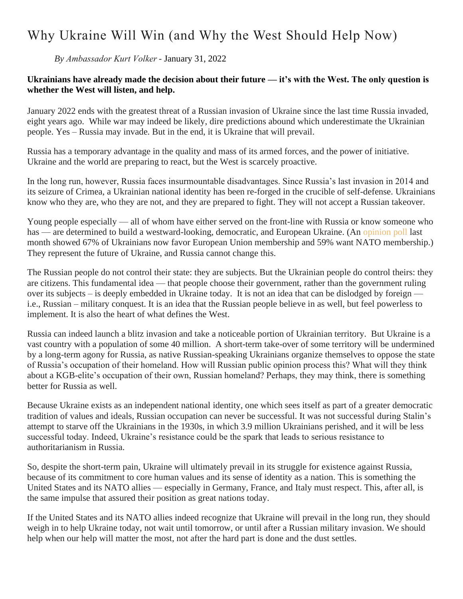## Why Ukraine Will Win (and Why the West Should Help Now)

*By Ambassador Kurt Volker -* [January 31, 2022](https://cepa.org/why-ukraine-will-win-and-why-the-west-should-help-now/)

## **Ukrainians have already made the decision about their future — it's with the West. The only question is whether the West will listen, and help.**

January 2022 ends with the greatest threat of a Russian invasion of Ukraine since the last time Russia invaded, eight years ago. While war may indeed be likely, dire predictions abound which underestimate the Ukrainian people. Yes – Russia may invade. But in the end, it is Ukraine that will prevail.

Russia has a temporary advantage in the quality and mass of its armed forces, and the power of initiative. Ukraine and the world are preparing to react, but the West is scarcely proactive.

In the long run, however, Russia faces insurmountable disadvantages. Since Russia's last invasion in 2014 and its seizure of Crimea, a Ukrainian national identity has been re-forged in the crucible of self-defense. Ukrainians know who they are, who they are not, and they are prepared to fight. They will not accept a Russian takeover.

Young people especially — all of whom have either served on the front-line with Russia or know someone who has — are determined to build a westward-looking, democratic, and European Ukraine. (An [opinion poll](https://www.ukrinform.net/rubric-society/3374904-majority-of-ukrainians-would-support-ukraines-accession-to-eu-nato-on-referendum.html) last month showed 67% of Ukrainians now favor European Union membership and 59% want NATO membership.) They represent the future of Ukraine, and Russia cannot change this.

The Russian people do not control their state: they are subjects. But the Ukrainian people do control theirs: they are citizens. This fundamental idea — that people choose their government, rather than the government ruling over its subjects – is deeply embedded in Ukraine today. It is not an idea that can be dislodged by foreign i.e., Russian – military conquest. It is an idea that the Russian people believe in as well, but feel powerless to implement. It is also the heart of what defines the West.

Russia can indeed launch a blitz invasion and take a noticeable portion of Ukrainian territory. But Ukraine is a vast country with a population of some 40 million. A short-term take-over of some territory will be undermined by a long-term agony for Russia, as native Russian-speaking Ukrainians organize themselves to oppose the state of Russia's occupation of their homeland. How will Russian public opinion process this? What will they think about a KGB-elite's occupation of their own, Russian homeland? Perhaps, they may think, there is something better for Russia as well.

Because Ukraine exists as an independent national identity, one which sees itself as part of a greater democratic tradition of values and ideals, Russian occupation can never be successful. It was not successful during Stalin's attempt to starve off the Ukrainians in the 1930s, in which 3.9 million Ukrainians perished, and it will be less successful today. Indeed, Ukraine's resistance could be the spark that leads to serious resistance to authoritarianism in Russia.

So, despite the short-term pain, Ukraine will ultimately prevail in its struggle for existence against Russia, because of its commitment to core human values and its sense of identity as a nation. This is something the United States and its NATO allies — especially in Germany, France, and Italy must respect. This, after all, is the same impulse that assured their position as great nations today.

If the United States and its NATO allies indeed recognize that Ukraine will prevail in the long run, they should weigh in to help Ukraine today, not wait until tomorrow, or until after a Russian military invasion. We should help when our help will matter the most, not after the hard part is done and the dust settles.